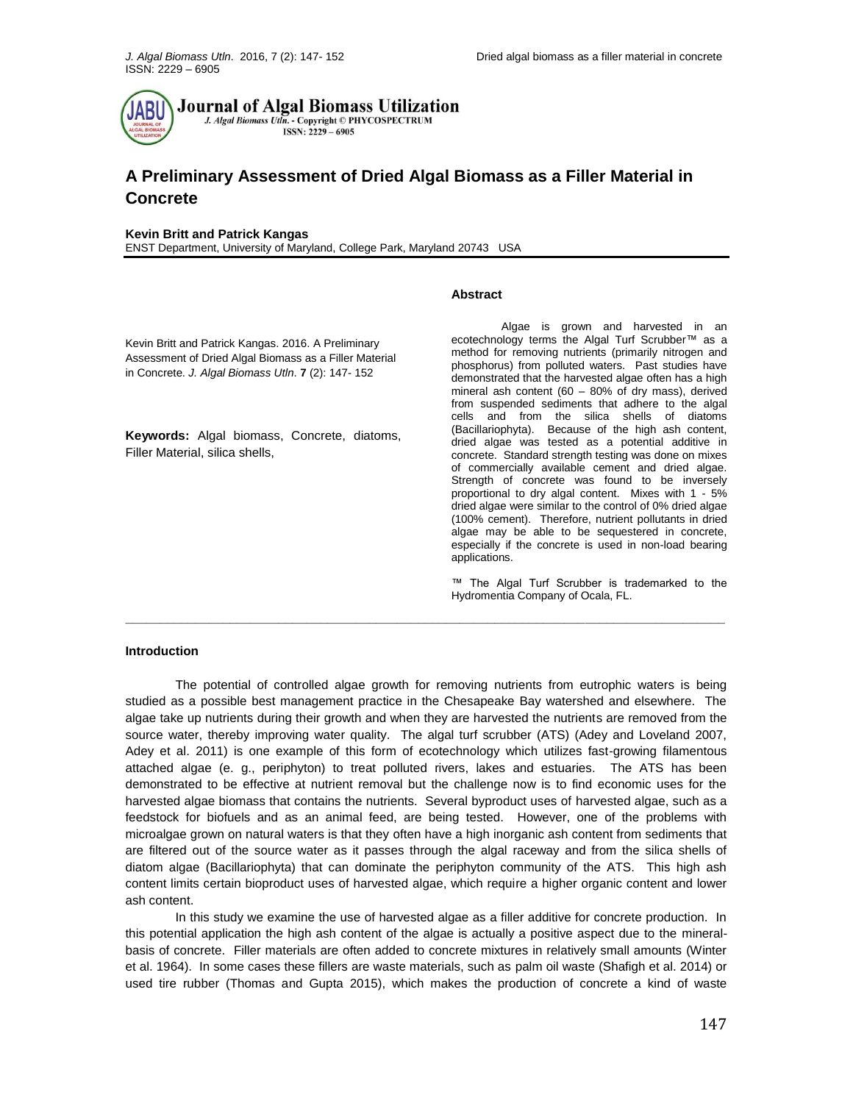

# **A Preliminary Assessment of Dried Algal Biomass as a Filler Material in Concrete**

#### **Kevin Britt and Patrick Kangas**

ENST Department, University of Maryland, College Park, Maryland 20743 USA

#### **Abstract**

Kevin Britt and Patrick Kangas. 2016. A Preliminary Assessment of Dried Algal Biomass as a Filler Material in Concrete. *J. Algal Biomass Utln*. **7** (2): 147- 152

**Keywords:** Algal biomass, Concrete, diatoms, Filler Material, silica shells,

Algae is grown and harvested in an ecotechnology terms the Algal Turf Scrubber™ as a method for removing nutrients (primarily nitrogen and phosphorus) from polluted waters. Past studies have demonstrated that the harvested algae often has a high mineral ash content (60 – 80% of dry mass), derived from suspended sediments that adhere to the algal cells and from the silica shells of diatoms (Bacillariophyta). Because of the high ash content, dried algae was tested as a potential additive in concrete. Standard strength testing was done on mixes of commercially available cement and dried algae. Strength of concrete was found to be inversely proportional to dry algal content. Mixes with 1 - 5% dried algae were similar to the control of 0% dried algae (100% cement). Therefore, nutrient pollutants in dried algae may be able to be sequestered in concrete, especially if the concrete is used in non-load bearing applications.

™ The Algal Turf Scrubber is trademarked to the Hydromentia Company of Ocala, FL.

#### **Introduction**

The potential of controlled algae growth for removing nutrients from eutrophic waters is being studied as a possible best management practice in the Chesapeake Bay watershed and elsewhere. The algae take up nutrients during their growth and when they are harvested the nutrients are removed from the source water, thereby improving water quality. The algal turf scrubber (ATS) (Adey and Loveland 2007, Adey et al. 2011) is one example of this form of ecotechnology which utilizes fast-growing filamentous attached algae (e. g., periphyton) to treat polluted rivers, lakes and estuaries. The ATS has been demonstrated to be effective at nutrient removal but the challenge now is to find economic uses for the harvested algae biomass that contains the nutrients. Several byproduct uses of harvested algae, such as a feedstock for biofuels and as an animal feed, are being tested. However, one of the problems with microalgae grown on natural waters is that they often have a high inorganic ash content from sediments that are filtered out of the source water as it passes through the algal raceway and from the silica shells of diatom algae (Bacillariophyta) that can dominate the periphyton community of the ATS. This high ash content limits certain bioproduct uses of harvested algae, which require a higher organic content and lower ash content.

**\_\_\_\_\_\_\_\_\_\_\_\_\_\_\_\_\_\_\_\_\_\_\_\_\_\_\_\_\_\_\_\_\_\_\_\_\_\_\_\_\_\_\_\_\_\_\_\_\_\_\_\_\_\_\_\_\_\_\_\_\_\_\_\_\_\_\_\_\_\_\_\_\_\_\_\_\_\_\_\_\_\_\_\_\_\_**

In this study we examine the use of harvested algae as a filler additive for concrete production. In this potential application the high ash content of the algae is actually a positive aspect due to the mineralbasis of concrete. Filler materials are often added to concrete mixtures in relatively small amounts (Winter et al. 1964). In some cases these fillers are waste materials, such as palm oil waste (Shafigh et al. 2014) or used tire rubber (Thomas and Gupta 2015), which makes the production of concrete a kind of waste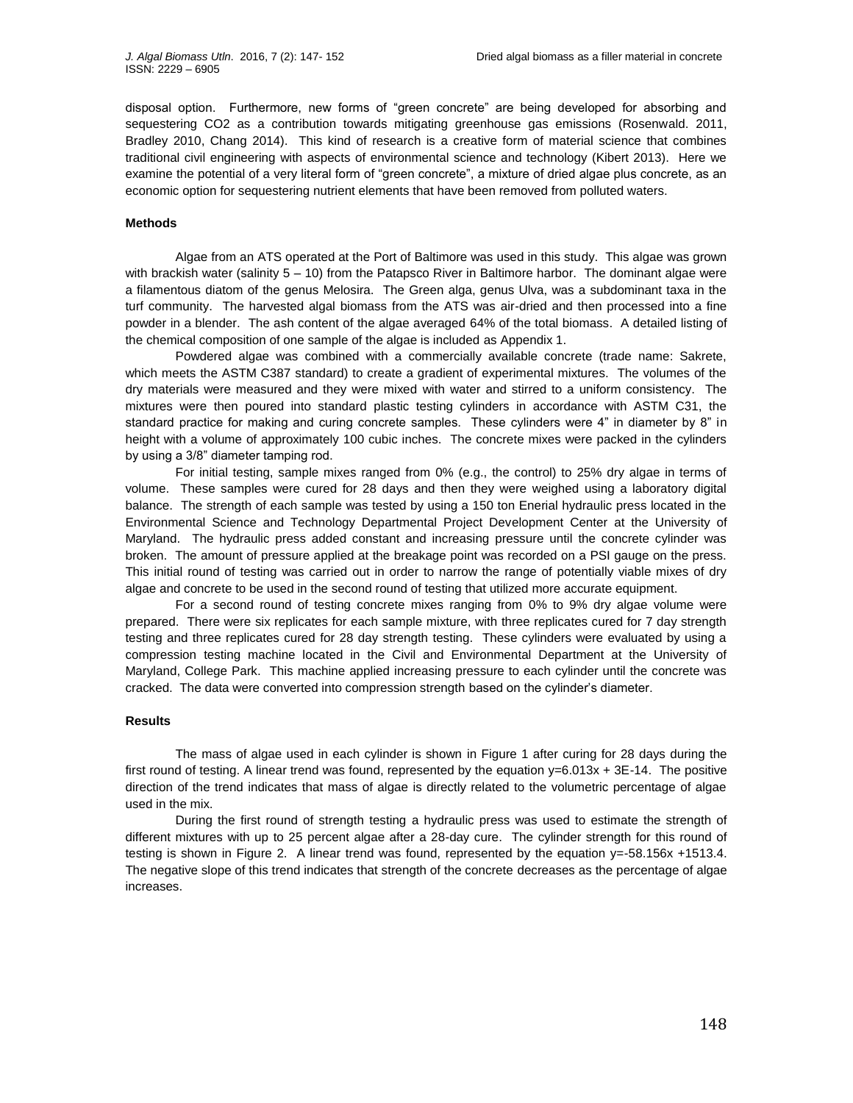disposal option. Furthermore, new forms of "green concrete" are being developed for absorbing and sequestering CO2 as a contribution towards mitigating greenhouse gas emissions (Rosenwald. 2011, Bradley 2010, Chang 2014). This kind of research is a creative form of material science that combines traditional civil engineering with aspects of environmental science and technology (Kibert 2013). Here we examine the potential of a very literal form of "green concrete", a mixture of dried algae plus concrete, as an economic option for sequestering nutrient elements that have been removed from polluted waters.

## **Methods**

Algae from an ATS operated at the Port of Baltimore was used in this study. This algae was grown with brackish water (salinity 5 - 10) from the Patapsco River in Baltimore harbor. The dominant algae were a filamentous diatom of the genus Melosira. The Green alga, genus Ulva, was a subdominant taxa in the turf community. The harvested algal biomass from the ATS was air-dried and then processed into a fine powder in a blender. The ash content of the algae averaged 64% of the total biomass. A detailed listing of the chemical composition of one sample of the algae is included as Appendix 1.

Powdered algae was combined with a commercially available concrete (trade name: Sakrete, which meets the ASTM C387 standard) to create a gradient of experimental mixtures. The volumes of the dry materials were measured and they were mixed with water and stirred to a uniform consistency. The mixtures were then poured into standard plastic testing cylinders in accordance with ASTM C31, the standard practice for making and curing concrete samples. These cylinders were 4" in diameter by 8" in height with a volume of approximately 100 cubic inches. The concrete mixes were packed in the cylinders by using a 3/8" diameter tamping rod.

For initial testing, sample mixes ranged from 0% (e.g., the control) to 25% dry algae in terms of volume. These samples were cured for 28 days and then they were weighed using a laboratory digital balance. The strength of each sample was tested by using a 150 ton Enerial hydraulic press located in the Environmental Science and Technology Departmental Project Development Center at the University of Maryland. The hydraulic press added constant and increasing pressure until the concrete cylinder was broken. The amount of pressure applied at the breakage point was recorded on a PSI gauge on the press. This initial round of testing was carried out in order to narrow the range of potentially viable mixes of dry algae and concrete to be used in the second round of testing that utilized more accurate equipment.

For a second round of testing concrete mixes ranging from 0% to 9% dry algae volume were prepared. There were six replicates for each sample mixture, with three replicates cured for 7 day strength testing and three replicates cured for 28 day strength testing. These cylinders were evaluated by using a compression testing machine located in the Civil and Environmental Department at the University of Maryland, College Park. This machine applied increasing pressure to each cylinder until the concrete was cracked. The data were converted into compression strength based on the cylinder's diameter.

### **Results**

The mass of algae used in each cylinder is shown in Figure 1 after curing for 28 days during the first round of testing. A linear trend was found, represented by the equation  $y=6.013x + 3E-14$ . The positive direction of the trend indicates that mass of algae is directly related to the volumetric percentage of algae used in the mix.

During the first round of strength testing a hydraulic press was used to estimate the strength of different mixtures with up to 25 percent algae after a 28-day cure. The cylinder strength for this round of testing is shown in Figure 2. A linear trend was found, represented by the equation y=-58.156x +1513.4. The negative slope of this trend indicates that strength of the concrete decreases as the percentage of algae increases.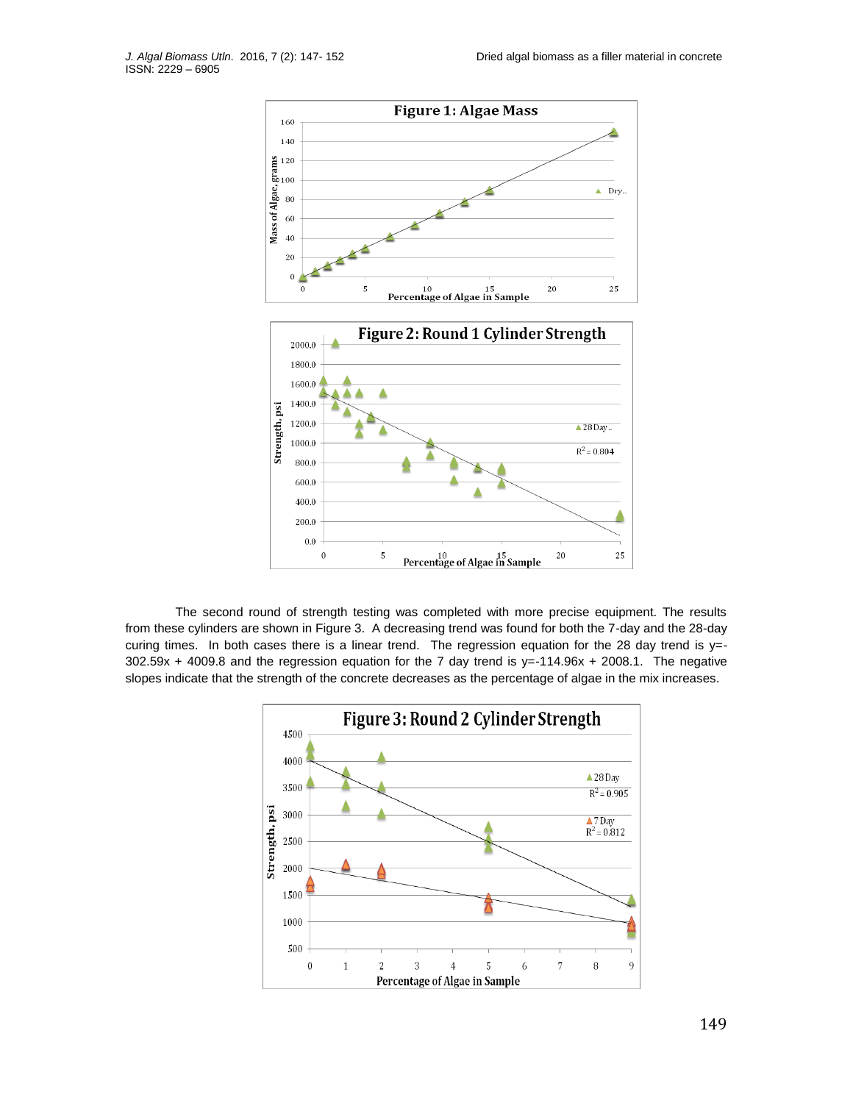

The second round of strength testing was completed with more precise equipment. The results from these cylinders are shown in Figure 3. A decreasing trend was found for both the 7-day and the 28-day curing times. In both cases there is a linear trend. The regression equation for the 28 day trend is y=- $302.59x + 4009.8$  and the regression equation for the 7 day trend is y=-114.96x + 2008.1. The negative slopes indicate that the strength of the concrete decreases as the percentage of algae in the mix increases.

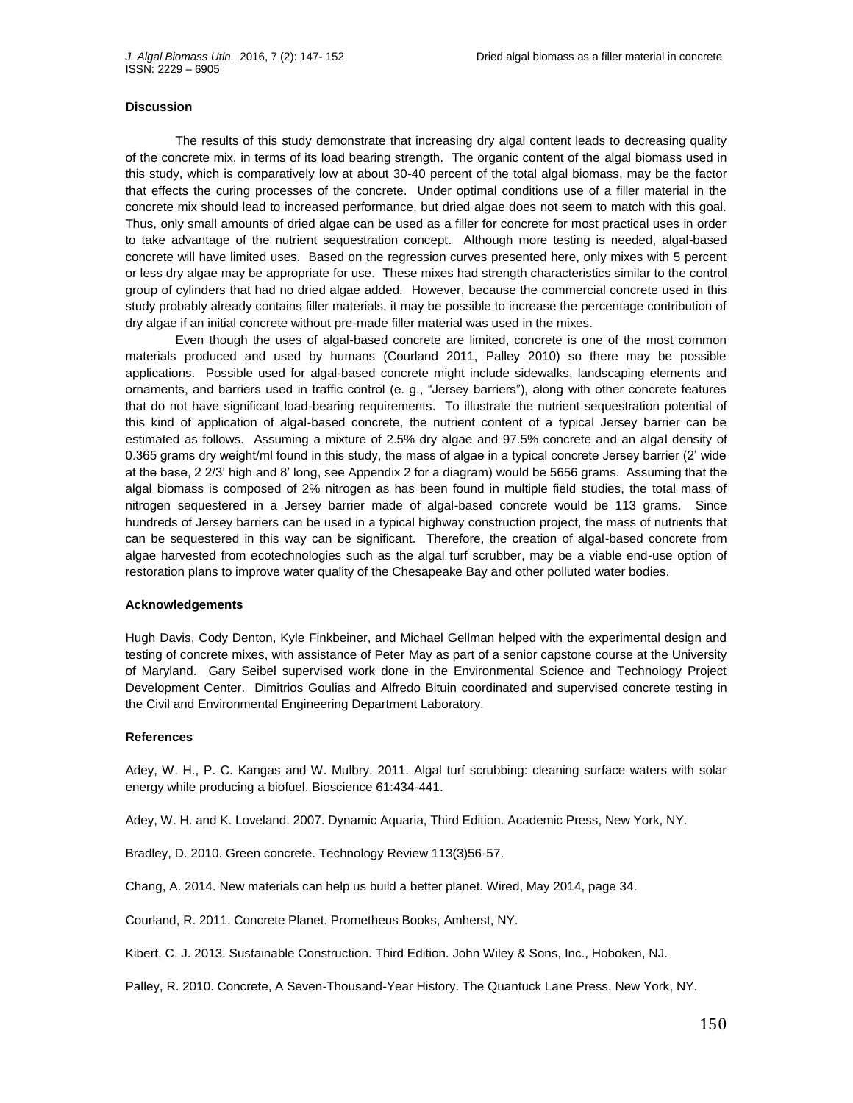## **Discussion**

The results of this study demonstrate that increasing dry algal content leads to decreasing quality of the concrete mix, in terms of its load bearing strength. The organic content of the algal biomass used in this study, which is comparatively low at about 30-40 percent of the total algal biomass, may be the factor that effects the curing processes of the concrete. Under optimal conditions use of a filler material in the concrete mix should lead to increased performance, but dried algae does not seem to match with this goal. Thus, only small amounts of dried algae can be used as a filler for concrete for most practical uses in order to take advantage of the nutrient sequestration concept. Although more testing is needed, algal-based concrete will have limited uses. Based on the regression curves presented here, only mixes with 5 percent or less dry algae may be appropriate for use. These mixes had strength characteristics similar to the control group of cylinders that had no dried algae added. However, because the commercial concrete used in this study probably already contains filler materials, it may be possible to increase the percentage contribution of dry algae if an initial concrete without pre-made filler material was used in the mixes.

Even though the uses of algal-based concrete are limited, concrete is one of the most common materials produced and used by humans (Courland 2011, Palley 2010) so there may be possible applications. Possible used for algal-based concrete might include sidewalks, landscaping elements and ornaments, and barriers used in traffic control (e. g., "Jersey barriers"), along with other concrete features that do not have significant load-bearing requirements. To illustrate the nutrient sequestration potential of this kind of application of algal-based concrete, the nutrient content of a typical Jersey barrier can be estimated as follows. Assuming a mixture of 2.5% dry algae and 97.5% concrete and an algal density of 0.365 grams dry weight/ml found in this study, the mass of algae in a typical concrete Jersey barrier (2' wide at the base, 2 2/3' high and 8' long, see Appendix 2 for a diagram) would be 5656 grams. Assuming that the algal biomass is composed of 2% nitrogen as has been found in multiple field studies, the total mass of nitrogen sequestered in a Jersey barrier made of algal-based concrete would be 113 grams. Since hundreds of Jersey barriers can be used in a typical highway construction project, the mass of nutrients that can be sequestered in this way can be significant. Therefore, the creation of algal-based concrete from algae harvested from ecotechnologies such as the algal turf scrubber, may be a viable end-use option of restoration plans to improve water quality of the Chesapeake Bay and other polluted water bodies.

## **Acknowledgements**

Hugh Davis, Cody Denton, Kyle Finkbeiner, and Michael Gellman helped with the experimental design and testing of concrete mixes, with assistance of Peter May as part of a senior capstone course at the University of Maryland. Gary Seibel supervised work done in the Environmental Science and Technology Project Development Center. Dimitrios Goulias and Alfredo Bituin coordinated and supervised concrete testing in the Civil and Environmental Engineering Department Laboratory.

#### **References**

Adey, W. H., P. C. Kangas and W. Mulbry. 2011. Algal turf scrubbing: cleaning surface waters with solar energy while producing a biofuel. Bioscience 61:434-441.

Adey, W. H. and K. Loveland. 2007. Dynamic Aquaria, Third Edition. Academic Press, New York, NY.

Bradley, D. 2010. Green concrete. Technology Review 113(3)56-57.

Chang, A. 2014. New materials can help us build a better planet. Wired, May 2014, page 34.

Courland, R. 2011. Concrete Planet. Prometheus Books, Amherst, NY.

Kibert, C. J. 2013. Sustainable Construction. Third Edition. John Wiley & Sons, Inc., Hoboken, NJ.

Palley, R. 2010. Concrete, A Seven-Thousand-Year History. The Quantuck Lane Press, New York, NY.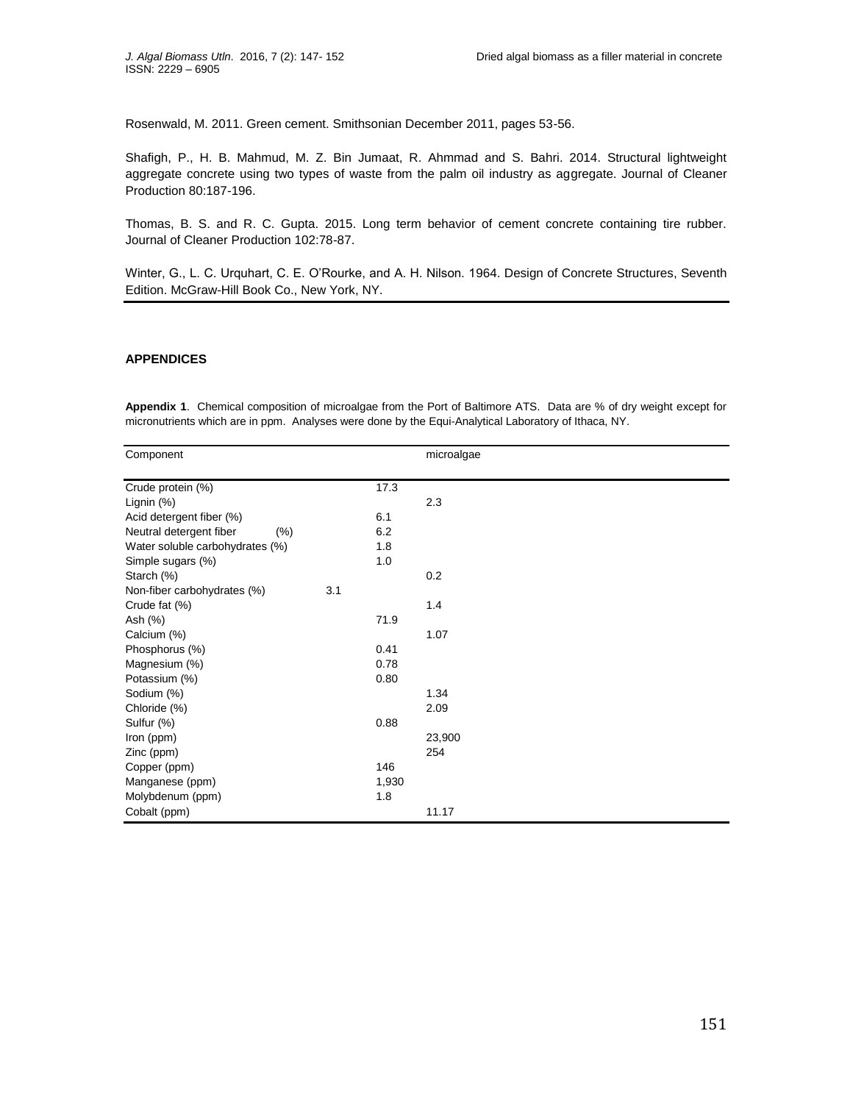Rosenwald, M. 2011. Green cement. Smithsonian December 2011, pages 53-56.

Shafigh, P., H. B. Mahmud, M. Z. Bin Jumaat, R. Ahmmad and S. Bahri. 2014. Structural lightweight aggregate concrete using two types of waste from the palm oil industry as aggregate. Journal of Cleaner Production 80:187-196.

Thomas, B. S. and R. C. Gupta. 2015. Long term behavior of cement concrete containing tire rubber. Journal of Cleaner Production 102:78-87.

Winter, G., L. C. Urquhart, C. E. O'Rourke, and A. H. Nilson. 1964. Design of Concrete Structures, Seventh Edition. McGraw-Hill Book Co., New York, NY.

## **APPENDICES**

**Appendix 1**. Chemical composition of microalgae from the Port of Baltimore ATS. Data are % of dry weight except for micronutrients which are in ppm. Analyses were done by the Equi-Analytical Laboratory of Ithaca, NY.

| Component                          |       | microalgae |
|------------------------------------|-------|------------|
|                                    |       |            |
| Crude protein (%)                  | 17.3  |            |
| Lignin $(%)$                       |       | 2.3        |
| Acid detergent fiber (%)           | 6.1   |            |
| Neutral detergent fiber<br>(% )    | 6.2   |            |
| Water soluble carbohydrates (%)    | 1.8   |            |
| Simple sugars (%)                  | 1.0   |            |
| Starch (%)                         |       | 0.2        |
| 3.1<br>Non-fiber carbohydrates (%) |       |            |
| Crude fat (%)                      |       | 1.4        |
| Ash (%)                            | 71.9  |            |
| Calcium (%)                        |       | 1.07       |
| Phosphorus (%)                     | 0.41  |            |
| Magnesium (%)                      | 0.78  |            |
| Potassium (%)                      | 0.80  |            |
| Sodium (%)                         |       | 1.34       |
| Chloride (%)                       |       | 2.09       |
| Sulfur (%)                         | 0.88  |            |
| Iron (ppm)                         |       | 23,900     |
| Zinc (ppm)                         |       | 254        |
| Copper (ppm)                       | 146   |            |
| Manganese (ppm)                    | 1,930 |            |
| Molybdenum (ppm)                   | 1.8   |            |
| Cobalt (ppm)                       |       | 11.17      |